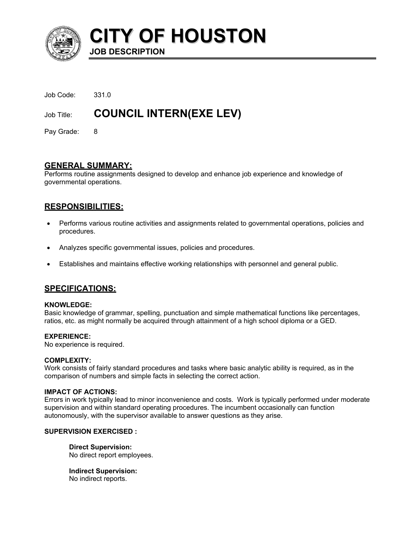

**CITY OF HOUSTON JOB DESCRIPTION** 

| Job Title:      | <b>COUNCIL INTERN(EXE LEV)</b> |
|-----------------|--------------------------------|
| Job Code: 331.0 |                                |
|                 |                                |

Pay Grade: 8

# **GENERAL SUMMARY:**

Performs routine assignments designed to develop and enhance job experience and knowledge of governmental operations.

# **RESPONSIBILITIES:**

- Performs various routine activities and assignments related to governmental operations, policies and procedures. •
- Analyzes specific governmental issues, policies and procedures.
- Establishes and maintains effective working relationships with personnel and general public.

# **SPECIFICATIONS:**

### **KNOWLEDGE:**

Basic knowledge of grammar, spelling, punctuation and simple mathematical functions like percentages, ratios, etc. as might normally be acquired through attainment of a high school diploma or a GED.

### **EXPERIENCE:**

No experience is required.

### **COMPLEXITY:**

Work consists of fairly standard procedures and tasks where basic analytic ability is required, as in the comparison of numbers and simple facts in selecting the correct action.

### **IMPACT OF ACTIONS:**

Errors in work typically lead to minor inconvenience and costs. Work is typically performed under moderate supervision and within standard operating procedures. The incumbent occasionally can function autonomously, with the supervisor available to answer questions as they arise.

### **SUPERVISION EXERCISED :**

**Direct Supervision:** No direct report employees.

**Indirect Supervision:** No indirect reports.